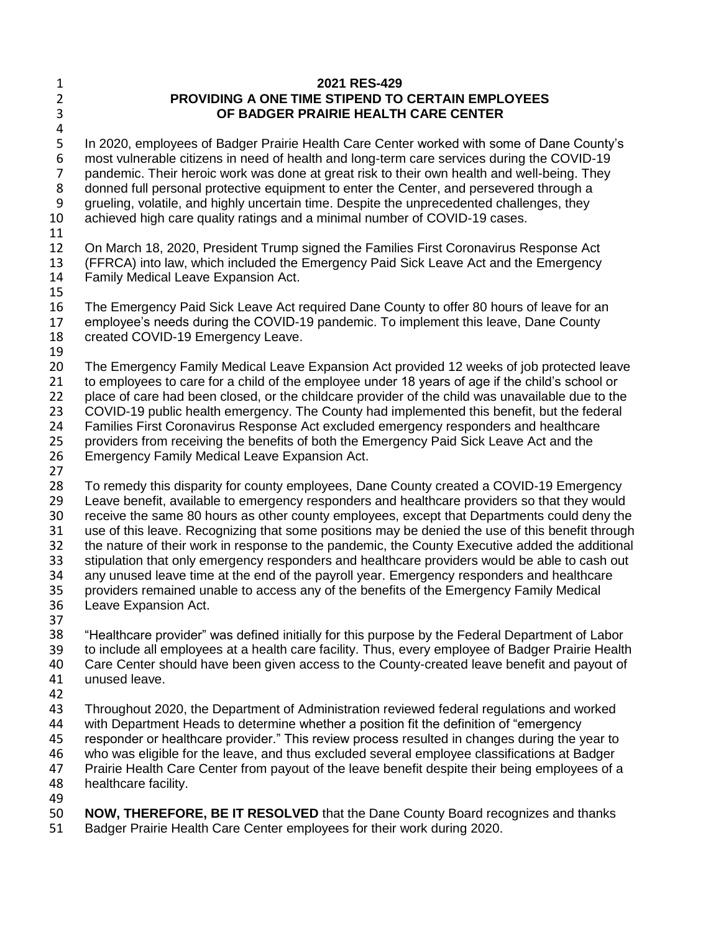1 2 3

4

## **2021 RES-429 PROVIDING A ONE TIME STIPEND TO CERTAIN EMPLOYEES OF BADGER PRAIRIE HEALTH CARE CENTER**

5 6 7 8 9 10 In 2020, employees of Badger Prairie Health Care Center worked with some of Dane County's most vulnerable citizens in need of health and long-term care services during the COVID-19 pandemic. Their heroic work was done at great risk to their own health and well-being. They donned full personal protective equipment to enter the Center, and persevered through a grueling, volatile, and highly uncertain time. Despite the unprecedented challenges, they achieved high care quality ratings and a minimal number of COVID-19 cases.

11

12 13 14 On March 18, 2020, President Trump signed the Families First Coronavirus Response Act (FFRCA) into law, which included the Emergency Paid Sick Leave Act and the Emergency Family Medical Leave Expansion Act.

15

16 17 The Emergency Paid Sick Leave Act required Dane County to offer 80 hours of leave for an employee's needs during the COVID-19 pandemic. To implement this leave, Dane County

- 18 created COVID-19 Emergency Leave.
- 19

20 21 22 23 24 The Emergency Family Medical Leave Expansion Act provided 12 weeks of job protected leave to employees to care for a child of the employee under 18 years of age if the child's school or place of care had been closed, or the childcare provider of the child was unavailable due to the COVID-19 public health emergency. The County had implemented this benefit, but the federal Families First Coronavirus Response Act excluded emergency responders and healthcare

25 providers from receiving the benefits of both the Emergency Paid Sick Leave Act and the

- 26 Emergency Family Medical Leave Expansion Act.
- 27

28 29 30 31 32 33 34 35 36 37 To remedy this disparity for county employees, Dane County created a COVID-19 Emergency Leave benefit, available to emergency responders and healthcare providers so that they would receive the same 80 hours as other county employees, except that Departments could deny the use of this leave. Recognizing that some positions may be denied the use of this benefit through the nature of their work in response to the pandemic, the County Executive added the additional stipulation that only emergency responders and healthcare providers would be able to cash out any unused leave time at the end of the payroll year. Emergency responders and healthcare providers remained unable to access any of the benefits of the Emergency Family Medical Leave Expansion Act.

38 39 40 "Healthcare provider" was defined initially for this purpose by the Federal Department of Labor to include all employees at a health care facility. Thus, every employee of Badger Prairie Health Care Center should have been given access to the County-created leave benefit and payout of unused leave.

- 41
- 42

43 44 Throughout 2020, the Department of Administration reviewed federal regulations and worked with Department Heads to determine whether a position fit the definition of "emergency

45 responder or healthcare provider." This review process resulted in changes during the year to

46 who was eligible for the leave, and thus excluded several employee classifications at Badger

47 Prairie Health Care Center from payout of the leave benefit despite their being employees of a

48 49 healthcare facility.

50 **NOW, THEREFORE, BE IT RESOLVED** that the Dane County Board recognizes and thanks

51 Badger Prairie Health Care Center employees for their work during 2020.